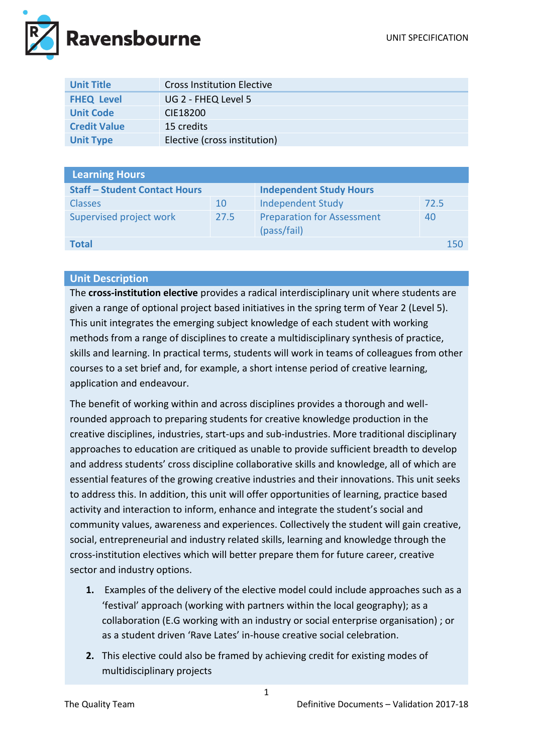

| <b>Unit Title</b>   | <b>Cross Institution Elective</b> |
|---------------------|-----------------------------------|
| <b>FHEQ Level</b>   | UG 2 - FHEQ Level 5               |
| <b>Unit Code</b>    | CIE18200                          |
| <b>Credit Value</b> | 15 credits                        |
| <b>Unit Type</b>    | Elective (cross institution)      |

| <b>Learning Hours</b>                |      |                                                  |      |  |
|--------------------------------------|------|--------------------------------------------------|------|--|
| <b>Staff - Student Contact Hours</b> |      | <b>Independent Study Hours</b>                   |      |  |
| <b>Classes</b>                       | 10   | <b>Independent Study</b>                         | 72.5 |  |
| Supervised project work              | 27.5 | <b>Preparation for Assessment</b><br>(pass/fail) | 40   |  |
| <b>Total</b>                         |      |                                                  | 150  |  |
|                                      |      |                                                  |      |  |

## **Unit Description**

The **cross-institution elective** provides a radical interdisciplinary unit where students are given a range of optional project based initiatives in the spring term of Year 2 (Level 5). This unit integrates the emerging subject knowledge of each student with working methods from a range of disciplines to create a multidisciplinary synthesis of practice, skills and learning. In practical terms, students will work in teams of colleagues from other courses to a set brief and, for example, a short intense period of creative learning, application and endeavour.

The benefit of working within and across disciplines provides a thorough and wellrounded approach to preparing students for creative knowledge production in the creative disciplines, industries, start-ups and sub-industries. More traditional disciplinary approaches to education are critiqued as unable to provide sufficient breadth to develop and address students' cross discipline collaborative skills and knowledge, all of which are essential features of the growing creative industries and their innovations. This unit seeks to address this. In addition, this unit will offer opportunities of learning, practice based activity and interaction to inform, enhance and integrate the student's social and community values, awareness and experiences. Collectively the student will gain creative, social, entrepreneurial and industry related skills, learning and knowledge through the cross-institution electives which will better prepare them for future career, creative sector and industry options.

- **1.** Examples of the delivery of the elective model could include approaches such as a 'festival' approach (working with partners within the local geography); as a collaboration (E.G working with an industry or social enterprise organisation) ; or as a student driven 'Rave Lates' in-house creative social celebration.
- **2.** This elective could also be framed by achieving credit for existing modes of multidisciplinary projects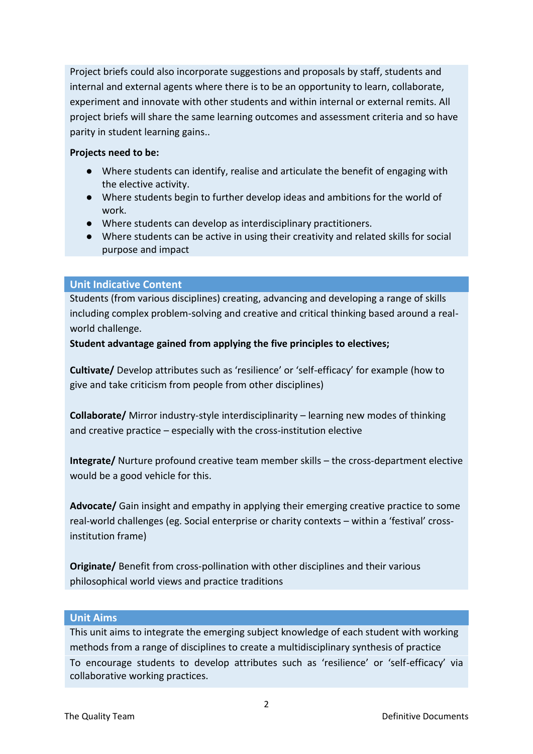Project briefs could also incorporate suggestions and proposals by staff, students and internal and external agents where there is to be an opportunity to learn, collaborate, experiment and innovate with other students and within internal or external remits. All project briefs will share the same learning outcomes and assessment criteria and so have parity in student learning gains..

#### **Projects need to be:**

- Where students can identify, realise and articulate the benefit of engaging with the elective activity.
- Where students begin to further develop ideas and ambitions for the world of work.
- Where students can develop as interdisciplinary practitioners.
- Where students can be active in using their creativity and related skills for social purpose and impact

## **Unit Indicative Content**

Students (from various disciplines) creating, advancing and developing a range of skills including complex problem-solving and creative and critical thinking based around a realworld challenge.

### **Student advantage gained from applying the five principles to electives;**

**Cultivate/** Develop attributes such as 'resilience' or 'self-efficacy' for example (how to give and take criticism from people from other disciplines)

**Collaborate/** Mirror industry-style interdisciplinarity – learning new modes of thinking and creative practice – especially with the cross-institution elective

**Integrate/** Nurture profound creative team member skills – the cross-department elective would be a good vehicle for this.

**Advocate/** Gain insight and empathy in applying their emerging creative practice to some real-world challenges (eg. Social enterprise or charity contexts – within a 'festival' crossinstitution frame)

**Originate/** Benefit from cross-pollination with other disciplines and their various philosophical world views and practice traditions

### **Unit Aims**

This unit aims to integrate the emerging subject knowledge of each student with working methods from a range of disciplines to create a multidisciplinary synthesis of practice To encourage students to develop attributes such as 'resilience' or 'self-efficacy' via collaborative working practices.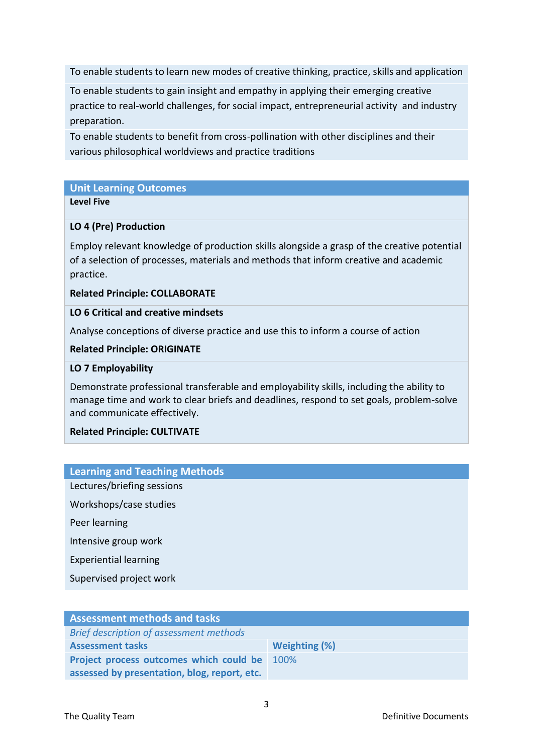To enable students to learn new modes of creative thinking, practice, skills and application

To enable students to gain insight and empathy in applying their emerging creative practice to real-world challenges, for social impact, entrepreneurial activity and industry preparation.

To enable students to benefit from cross-pollination with other disciplines and their various philosophical worldviews and practice traditions

### **Unit Learning Outcomes**

#### **Level Five**

## **LO 4 (Pre) Production**

Employ relevant knowledge of production skills alongside a grasp of the creative potential of a selection of processes, materials and methods that inform creative and academic practice.

### **Related Principle: COLLABORATE**

### **LO 6 Critical and creative mindsets**

Analyse conceptions of diverse practice and use this to inform a course of action

### **Related Principle: ORIGINATE**

### **LO 7 Employability**

Demonstrate professional transferable and employability skills, including the ability to manage time and work to clear briefs and deadlines, respond to set goals, problem-solve and communicate effectively.

### **Related Principle: CULTIVATE**

### **Learning and Teaching Methods**

Lectures/briefing sessions

Workshops/case studies

Peer learning

Intensive group work

Experiential learning

Supervised project work

| <b>Assessment methods and tasks</b>          |               |  |  |
|----------------------------------------------|---------------|--|--|
| Brief description of assessment methods      |               |  |  |
| <b>Assessment tasks</b>                      | Weighting (%) |  |  |
| Project process outcomes which could be      | 100%          |  |  |
| assessed by presentation, blog, report, etc. |               |  |  |